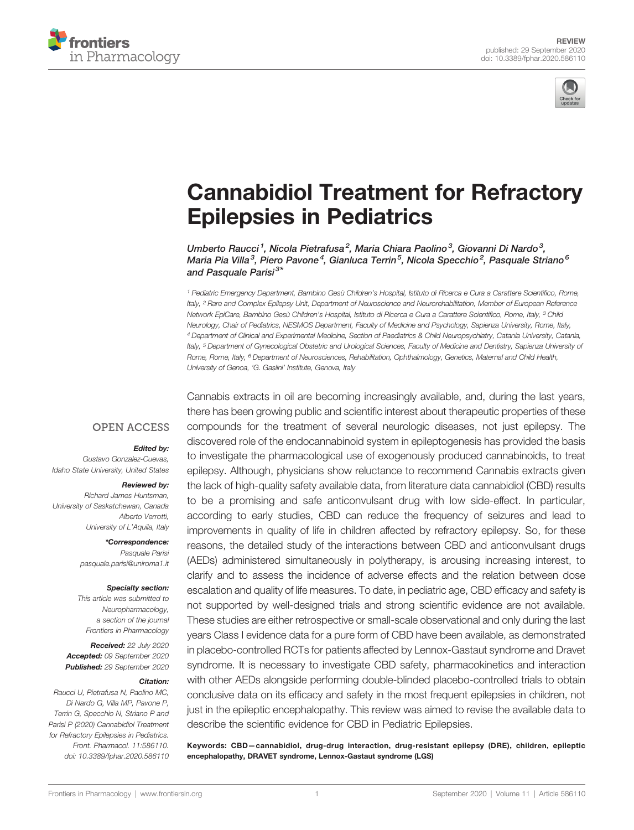



# [Cannabidiol Treatment for Refractory](https://www.frontiersin.org/articles/10.3389/fphar.2020.586110/full) [Epilepsies in Pediatrics](https://www.frontiersin.org/articles/10.3389/fphar.2020.586110/full)

Umberto Raucci<sup>1</sup>, Nicola Pietrafusa<sup>2</sup>, Maria Chiara Paolino<sup>3</sup>, Giovanni Di Nardo<sup>3</sup>, Maria Pia Villa<sup>3</sup>, Piero Pavone<sup>4</sup>, Gianluca Terrin<sup>5</sup>, Nicola Specchio<sup>2</sup>, Pasquale Striano<sup>6</sup> and Pasquale Parisi<sup>3</sup>'

<sup>1</sup> Pediatric Emergency Department, Bambino Gesù Children's Hospital, Istituto di Ricerca e Cura a Carattere Scientifico, Rome, Italy, <sup>2</sup> Rare and Complex Epilepsy Unit, Department of Neuroscience and Neurorehabilitation, Member of European Reference Network EpiCare, Bambino Gesù Children's Hospital, Istituto di Ricerca e Cura a Carattere Scientifico, Rome, Italy, <sup>3</sup> Child Neurology, Chair of Pediatrics, NESMOS Department, Faculty of Medicine and Psychology, Sapienza University, Rome, Italy, <sup>4</sup> Department of Clinical and Experimental Medicine, Section of Paediatrics & Child Neuropsychiatry, Catania University, Catania, Italy, <sup>5</sup> Department of Gynecological Obstetric and Urological Sciences, Faculty of Medicine and Dentistry, Sapienza University of Rome, Rome, Italy, <sup>6</sup> Department of Neurosciences, Rehabilitation, Ophthalmology, Genetics, Maternal and Child Health, University of Genoa, 'G. Gaslini' Institute, Genova, Italy

#### **OPEN ACCESS**

#### Edited by:

Gustavo Gonzalez-Cuevas, Idaho State University, United States

#### Reviewed by:

Richard James Huntsman, University of Saskatchewan, Canada Alberto Verrotti, University of L'Aquila, Italy

> \*Correspondence: Pasquale Parisi [pasquale.parisi@uniroma1.it](mailto:pasquale.parisi@uniroma1.it)

#### Specialty section:

This article was submitted to Neuropharmacology, a section of the journal Frontiers in Pharmacology

Received: 22 July 2020 Accepted: 09 September 2020 Published: 29 September 2020

#### Citation:

Raucci U, Pietrafusa N, Paolino MC, Di Nardo G, Villa MP, Pavone P, Terrin G, Specchio N, Striano P and Parisi P (2020) Cannabidiol Treatment for Refractory Epilepsies in Pediatrics. Front. Pharmacol. 11:586110. [doi: 10.3389/fphar.2020.586110](https://doi.org/10.3389/fphar.2020.586110) Cannabis extracts in oil are becoming increasingly available, and, during the last years, there has been growing public and scientific interest about therapeutic properties of these compounds for the treatment of several neurologic diseases, not just epilepsy. The discovered role of the endocannabinoid system in epileptogenesis has provided the basis to investigate the pharmacological use of exogenously produced cannabinoids, to treat epilepsy. Although, physicians show reluctance to recommend Cannabis extracts given the lack of high-quality safety available data, from literature data cannabidiol (CBD) results to be a promising and safe anticonvulsant drug with low side-effect. In particular, according to early studies, CBD can reduce the frequency of seizures and lead to improvements in quality of life in children affected by refractory epilepsy. So, for these reasons, the detailed study of the interactions between CBD and anticonvulsant drugs (AEDs) administered simultaneously in polytherapy, is arousing increasing interest, to clarify and to assess the incidence of adverse effects and the relation between dose escalation and quality of life measures. To date, in pediatric age, CBD efficacy and safety is not supported by well-designed trials and strong scientific evidence are not available. These studies are either retrospective or small-scale observational and only during the last years Class I evidence data for a pure form of CBD have been available, as demonstrated in placebo-controlled RCTs for patients affected by Lennox-Gastaut syndrome and Dravet syndrome. It is necessary to investigate CBD safety, pharmacokinetics and interaction with other AEDs alongside performing double-blinded placebo-controlled trials to obtain conclusive data on its efficacy and safety in the most frequent epilepsies in children, not just in the epileptic encephalopathy. This review was aimed to revise the available data to describe the scientific evidence for CBD in Pediatric Epilepsies.

Keywords: CBD—cannabidiol, drug-drug interaction, drug-resistant epilepsy (DRE), children, epileptic encephalopathy, DRAVET syndrome, Lennox-Gastaut syndrome (LGS)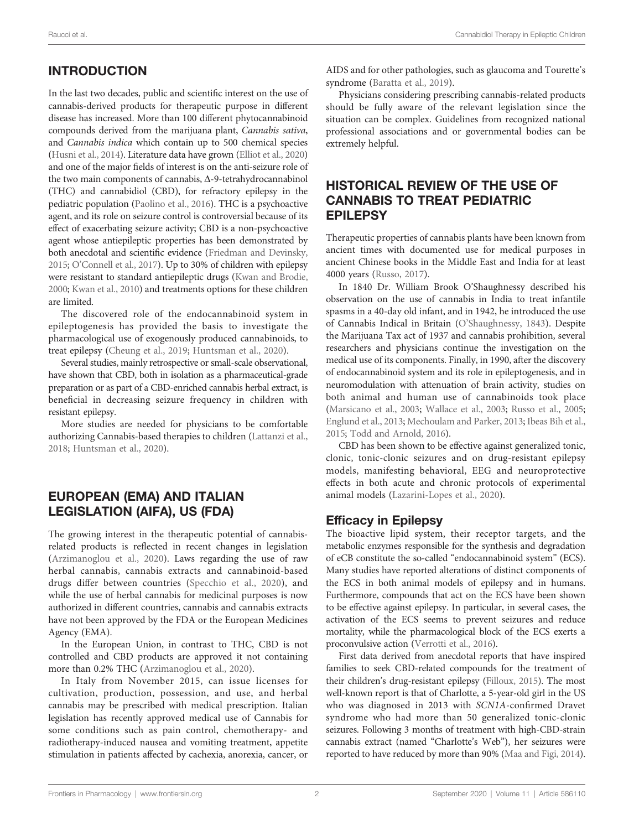# INTRODUCTION

In the last two decades, public and scientific interest on the use of cannabis-derived products for therapeutic purpose in different disease has increased. More than 100 different phytocannabinoid compounds derived from the marijuana plant, Cannabis sativa, and Cannabis indica which contain up to 500 chemical species ([Husni et al., 2014\)](#page-8-0). Literature data have grown ([Elliot et al., 2020\)](#page-7-0) and one of the major fields of interest is on the anti-seizure role of the two main components of cannabis,  $\Delta$ -9-tetrahydrocannabinol (THC) and cannabidiol (CBD), for refractory epilepsy in the pediatric population ([Paolino et al., 2016\)](#page-8-0). THC is a psychoactive agent, and its role on seizure control is controversial because of its effect of exacerbating seizure activity; CBD is a non-psychoactive agent whose antiepileptic properties has been demonstrated by both anecdotal and scientific evidence ([Friedman and Devinsky,](#page-7-0) [2015](#page-7-0); O'[Connell et al., 2017\)](#page-8-0). Up to 30% of children with epilepsy were resistant to standard antiepileptic drugs ([Kwan and Brodie,](#page-8-0) [2000](#page-8-0); [Kwan et al., 2010\)](#page-8-0) and treatments options for these children are limited.

The discovered role of the endocannabinoid system in epileptogenesis has provided the basis to investigate the pharmacological use of exogenously produced cannabinoids, to treat epilepsy [\(Cheung et al., 2019](#page-7-0); [Huntsman et al., 2020\)](#page-8-0).

Several studies, mainly retrospective or small-scale observational, have shown that CBD, both in isolation as a pharmaceutical-grade preparation or as part of a CBD-enriched cannabis herbal extract, is beneficial in decreasing seizure frequency in children with resistant epilepsy.

More studies are needed for physicians to be comfortable authorizing Cannabis-based therapies to children ([Lattanzi et al.,](#page-8-0) [2018;](#page-8-0) [Huntsman et al., 2020](#page-8-0)).

# EUROPEAN (EMA) AND ITALIAN LEGISLATION (AIFA), US (FDA)

The growing interest in the therapeutic potential of cannabisrelated products is reflected in recent changes in legislation ([Arzimanoglou et al., 2020\)](#page-7-0). Laws regarding the use of raw herbal cannabis, cannabis extracts and cannabinoid-based drugs differ between countries [\(Specchio et al., 2020](#page-9-0)), and while the use of herbal cannabis for medicinal purposes is now authorized in different countries, cannabis and cannabis extracts have not been approved by the FDA or the European Medicines Agency (EMA).

In the European Union, in contrast to THC, CBD is not controlled and CBD products are approved it not containing more than 0.2% THC ([Arzimanoglou et al., 2020\)](#page-7-0).

In Italy from November 2015, can issue licenses for cultivation, production, possession, and use, and herbal cannabis may be prescribed with medical prescription. Italian legislation has recently approved medical use of Cannabis for some conditions such as pain control, chemotherapy- and radiotherapy-induced nausea and vomiting treatment, appetite stimulation in patients affected by cachexia, anorexia, cancer, or

AIDS and for other pathologies, such as glaucoma and Tourette's syndrome [\(Baratta et al., 2019\)](#page-7-0).

Physicians considering prescribing cannabis-related products should be fully aware of the relevant legislation since the situation can be complex. Guidelines from recognized national professional associations and or governmental bodies can be extremely helpful.

# HISTORICAL REVIEW OF THE USE OF CANNABIS TO TREAT PEDIATRIC EPILEPSY

Therapeutic properties of cannabis plants have been known from ancient times with documented use for medical purposes in ancient Chinese books in the Middle East and India for at least 4000 years ([Russo, 2017](#page-8-0)).

In 1840 Dr. William Brook O'Shaughnessy described his observation on the use of cannabis in India to treat infantile spasms in a 40-day old infant, and in 1942, he introduced the use of Cannabis Indical in Britain (O'[Shaughnessy, 1843](#page-8-0)). Despite the Marijuana Tax act of 1937 and cannabis prohibition, several researchers and physicians continue the investigation on the medical use of its components. Finally, in 1990, after the discovery of endocannabinoid system and its role in epileptogenesis, and in neuromodulation with attenuation of brain activity, studies on both animal and human use of cannabinoids took place [\(Marsicano et al., 2003](#page-8-0); [Wallace et al., 2003;](#page-9-0) [Russo et al., 2005;](#page-8-0) [Englund et al., 2013;](#page-7-0) [Mechoulam and Parker, 2013](#page-8-0); [Ibeas Bih et al.,](#page-8-0) [2015;](#page-8-0) [Todd and Arnold, 2016](#page-9-0)).

CBD has been shown to be effective against generalized tonic, clonic, tonic-clonic seizures and on drug-resistant epilepsy models, manifesting behavioral, EEG and neuroprotective effects in both acute and chronic protocols of experimental animal models [\(Lazarini-Lopes et al., 2020](#page-8-0)).

# Efficacy in Epilepsy

The bioactive lipid system, their receptor targets, and the metabolic enzymes responsible for the synthesis and degradation of eCB constitute the so-called "endocannabinoid system" (ECS). Many studies have reported alterations of distinct components of the ECS in both animal models of epilepsy and in humans. Furthermore, compounds that act on the ECS have been shown to be effective against epilepsy. In particular, in several cases, the activation of the ECS seems to prevent seizures and reduce mortality, while the pharmacological block of the ECS exerts a proconvulsive action [\(Verrotti et al., 2016](#page-9-0)).

First data derived from anecdotal reports that have inspired families to seek CBD-related compounds for the treatment of their children's drug-resistant epilepsy ([Filloux, 2015](#page-7-0)). The most well-known report is that of Charlotte, a 5-year-old girl in the US who was diagnosed in 2013 with SCN1A-confirmed Dravet syndrome who had more than 50 generalized tonic-clonic seizures. Following 3 months of treatment with high-CBD-strain cannabis extract (named "Charlotte's Web"), her seizures were reported to have reduced by more than 90% ([Maa and Figi, 2014\)](#page-8-0).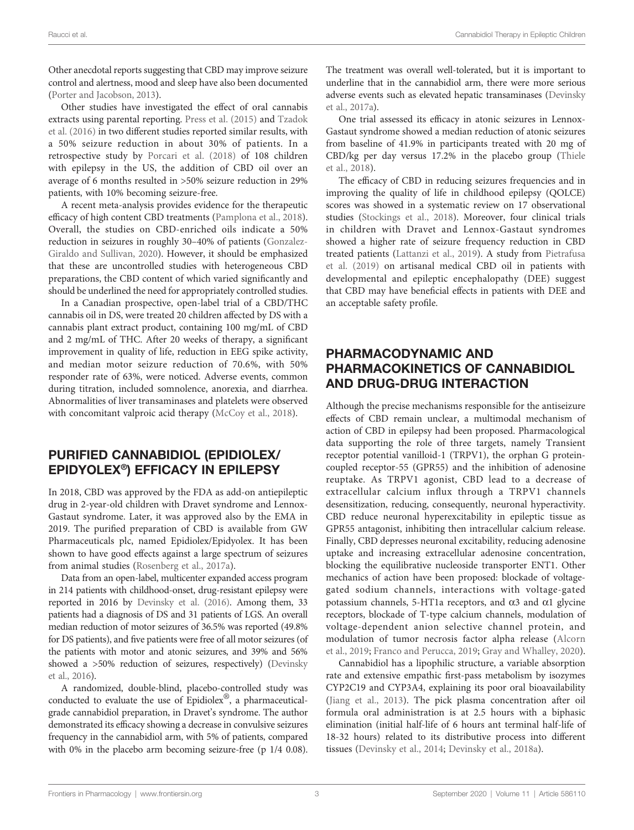Other anecdotal reports suggesting that CBD may improve seizure control and alertness, mood and sleep have also been documented ([Porter and Jacobson, 2013](#page-8-0)).

Other studies have investigated the effect of oral cannabis extracts using parental reporting. [Press et al. \(2015\)](#page-8-0) and [Tzadok](#page-9-0) [et al. \(2016\)](#page-9-0) in two different studies reported similar results, with a 50% seizure reduction in about 30% of patients. In a retrospective study by [Porcari et al. \(2018\)](#page-8-0) of 108 children with epilepsy in the US, the addition of CBD oil over an average of 6 months resulted in >50% seizure reduction in 29% patients, with 10% becoming seizure-free.

A recent meta-analysis provides evidence for the therapeutic efficacy of high content CBD treatments ([Pamplona et al., 2018\)](#page-8-0). Overall, the studies on CBD-enriched oils indicate a 50% reduction in seizures in roughly 30–40% of patients ([Gonzalez-](#page-7-0)[Giraldo and Sullivan, 2020](#page-7-0)). However, it should be emphasized that these are uncontrolled studies with heterogeneous CBD preparations, the CBD content of which varied significantly and should be underlined the need for appropriately controlled studies.

In a Canadian prospective, open-label trial of a CBD/THC cannabis oil in DS, were treated 20 children affected by DS with a cannabis plant extract product, containing 100 mg/mL of CBD and 2 mg/mL of THC. After 20 weeks of therapy, a significant improvement in quality of life, reduction in EEG spike activity, and median motor seizure reduction of 70.6%, with 50% responder rate of 63%, were noticed. Adverse events, common during titration, included somnolence, anorexia, and diarrhea. Abnormalities of liver transaminases and platelets were observed with concomitant valproic acid therapy [\(McCoy et al., 2018](#page-8-0)).

# PURIFIED CANNABIDIOL (EPIDIOLEX/ EPIDYOLEX®) EFFICACY IN EPILEPSY

In 2018, CBD was approved by the FDA as add-on antiepileptic drug in 2-year-old children with Dravet syndrome and Lennox-Gastaut syndrome. Later, it was approved also by the EMA in 2019. The purified preparation of CBD is available from GW Pharmaceuticals plc, named Epidiolex/Epidyolex. It has been shown to have good effects against a large spectrum of seizures from animal studies [\(Rosenberg et al., 2017a](#page-8-0)).

Data from an open-label, multicenter expanded access program in 214 patients with childhood-onset, drug-resistant epilepsy were reported in 2016 by [Devinsky et al. \(2016\).](#page-7-0) Among them, 33 patients had a diagnosis of DS and 31 patients of LGS. An overall median reduction of motor seizures of 36.5% was reported (49.8% for DS patients), and five patients were free of all motor seizures (of the patients with motor and atonic seizures, and 39% and 56% showed a >50% reduction of seizures, respectively) ([Devinsky](#page-7-0) [et al., 2016](#page-7-0)).

A randomized, double-blind, placebo-controlled study was conducted to evaluate the use of Epidiolex $^{\circledR}$ , a pharmaceuticalgrade cannabidiol preparation, in Dravet's syndrome. The author demonstrated its efficacy showing a decrease in convulsive seizures frequency in the cannabidiol arm, with 5% of patients, compared with 0% in the placebo arm becoming seizure-free (p 1/4 0.08).

The treatment was overall well-tolerated, but it is important to underline that in the cannabidiol arm, there were more serious adverse events such as elevated hepatic transaminases [\(Devinsky](#page-7-0) [et al., 2017a\)](#page-7-0).

One trial assessed its efficacy in atonic seizures in Lennox-Gastaut syndrome showed a median reduction of atonic seizures from baseline of 41.9% in participants treated with 20 mg of CBD/kg per day versus 17.2% in the placebo group [\(Thiele](#page-9-0) [et al., 2018\)](#page-9-0).

The efficacy of CBD in reducing seizures frequencies and in improving the quality of life in childhood epilepsy (QOLCE) scores was showed in a systematic review on 17 observational studies [\(Stockings et al., 2018\)](#page-9-0). Moreover, four clinical trials in children with Dravet and Lennox-Gastaut syndromes showed a higher rate of seizure frequency reduction in CBD treated patients ([Lattanzi et al., 2019](#page-8-0)). A study from [Pietrafusa](#page-8-0) [et al. \(2019\)](#page-8-0) on artisanal medical CBD oil in patients with developmental and epileptic encephalopathy (DEE) suggest that CBD may have beneficial effects in patients with DEE and an acceptable safety profile.

# PHARMACODYNAMIC AND PHARMACOKINETICS OF CANNABIDIOL AND DRUG-DRUG INTERACTION

Although the precise mechanisms responsible for the antiseizure effects of CBD remain unclear, a multimodal mechanism of action of CBD in epilepsy had been proposed. Pharmacological data supporting the role of three targets, namely Transient receptor potential vanilloid-1 (TRPV1), the orphan G proteincoupled receptor-55 (GPR55) and the inhibition of adenosine reuptake. As TRPV1 agonist, CBD lead to a decrease of extracellular calcium influx through a TRPV1 channels desensitization, reducing, consequently, neuronal hyperactivity. CBD reduce neuronal hyperexcitability in epileptic tissue as GPR55 antagonist, inhibiting then intracellular calcium release. Finally, CBD depresses neuronal excitability, reducing adenosine uptake and increasing extracellular adenosine concentration, blocking the equilibrative nucleoside transporter ENT1. Other mechanics of action have been proposed: blockade of voltagegated sodium channels, interactions with voltage-gated potassium channels, 5-HT1a receptors, and  $\alpha$ 3 and  $\alpha$ 1 glycine receptors, blockade of T-type calcium channels, modulation of voltage-dependent anion selective channel protein, and modulation of tumor necrosis factor alpha release ([Alcorn](#page-7-0) [et al., 2019;](#page-7-0) [Franco and Perucca, 2019;](#page-7-0) [Gray and Whalley, 2020\)](#page-7-0).

Cannabidiol has a lipophilic structure, a variable absorption rate and extensive empathic first-pass metabolism by isozymes CYP2C19 and CYP3A4, explaining its poor oral bioavailability [\(Jiang et al., 2013\)](#page-8-0). The pick plasma concentration after oil formula oral administration is at 2.5 hours with a biphasic elimination (initial half-life of 6 hours ant terminal half-life of 18-32 hours) related to its distributive process into different tissues ([Devinsky et al., 2014;](#page-7-0) [Devinsky et al., 2018a](#page-7-0)).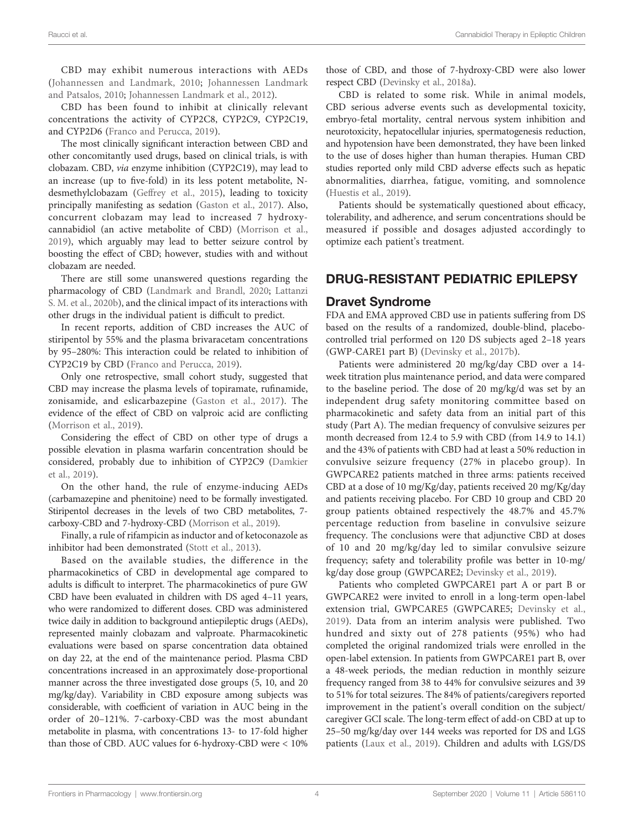CBD may exhibit numerous interactions with AEDs ([Johannessen and Landmark, 2010](#page-8-0); [Johannessen Landmark](#page-8-0) [and Patsalos, 2010](#page-8-0); [Johannessen Landmark et al., 2012\)](#page-8-0).

CBD has been found to inhibit at clinically relevant concentrations the activity of CYP2C8, CYP2C9, CYP2C19, and CYP2D6 [\(Franco and Perucca, 2019](#page-7-0)).

The most clinically significant interaction between CBD and other concomitantly used drugs, based on clinical trials, is with clobazam. CBD, via enzyme inhibition (CYP2C19), may lead to an increase (up to five-fold) in its less potent metabolite, Ndesmethylclobazam [\(Geffrey et al., 2015\)](#page-7-0), leading to toxicity principally manifesting as sedation [\(Gaston et al., 2017](#page-7-0)). Also, concurrent clobazam may lead to increased 7 hydroxycannabidiol (an active metabolite of CBD) ([Morrison et al.,](#page-8-0) [2019\)](#page-8-0), which arguably may lead to better seizure control by boosting the effect of CBD; however, studies with and without clobazam are needed.

There are still some unanswered questions regarding the pharmacology of CBD ([Landmark and Brandl, 2020](#page-8-0); [Lattanzi](#page-8-0) [S. M. et al., 2020b\)](#page-8-0), and the clinical impact of its interactions with other drugs in the individual patient is difficult to predict.

In recent reports, addition of CBD increases the AUC of stiripentol by 55% and the plasma brivaracetam concentrations by 95–280%: This interaction could be related to inhibition of CYP2C19 by CBD [\(Franco and Perucca, 2019\)](#page-7-0).

Only one retrospective, small cohort study, suggested that CBD may increase the plasma levels of topiramate, rufinamide, zonisamide, and eslicarbazepine ([Gaston et al., 2017\)](#page-7-0). The evidence of the effect of CBD on valproic acid are conflicting ([Morrison et al., 2019\)](#page-8-0).

Considering the effect of CBD on other type of drugs a possible elevation in plasma warfarin concentration should be considered, probably due to inhibition of CYP2C9 ([Damkier](#page-7-0) [et al., 2019\)](#page-7-0).

On the other hand, the rule of enzyme-inducing AEDs (carbamazepine and phenitoine) need to be formally investigated. Stiripentol decreases in the levels of two CBD metabolites, 7 carboxy-CBD and 7-hydroxy-CBD ([Morrison et al., 2019](#page-8-0)).

Finally, a rule of rifampicin as inductor and of ketoconazole as inhibitor had been demonstrated ([Stott et al., 2013\)](#page-9-0).

Based on the available studies, the difference in the pharmacokinetics of CBD in developmental age compared to adults is difficult to interpret. The pharmacokinetics of pure GW CBD have been evaluated in children with DS aged 4–11 years, who were randomized to different doses. CBD was administered twice daily in addition to background antiepileptic drugs (AEDs), represented mainly clobazam and valproate. Pharmacokinetic evaluations were based on sparse concentration data obtained on day 22, at the end of the maintenance period. Plasma CBD concentrations increased in an approximately dose-proportional manner across the three investigated dose groups (5, 10, and 20 mg/kg/day). Variability in CBD exposure among subjects was considerable, with coefficient of variation in AUC being in the order of 20–121%. 7-carboxy-CBD was the most abundant metabolite in plasma, with concentrations 13- to 17-fold higher than those of CBD. AUC values for 6-hydroxy-CBD were < 10%

those of CBD, and those of 7-hydroxy-CBD were also lower respect CBD ([Devinsky et al., 2018a\)](#page-7-0).

CBD is related to some risk. While in animal models, CBD serious adverse events such as developmental toxicity, embryo-fetal mortality, central nervous system inhibition and neurotoxicity, hepatocellular injuries, spermatogenesis reduction, and hypotension have been demonstrated, they have been linked to the use of doses higher than human therapies. Human CBD studies reported only mild CBD adverse effects such as hepatic abnormalities, diarrhea, fatigue, vomiting, and somnolence [\(Huestis et al., 2019\)](#page-7-0).

Patients should be systematically questioned about efficacy, tolerability, and adherence, and serum concentrations should be measured if possible and dosages adjusted accordingly to optimize each patient's treatment.

# DRUG-RESISTANT PEDIATRIC EPILEPSY

## Dravet Syndrome

FDA and EMA approved CBD use in patients suffering from DS based on the results of a randomized, double-blind, placebocontrolled trial performed on 120 DS subjects aged 2–18 years (GWP-CARE1 part B) ([Devinsky et al., 2017b\)](#page-7-0).

Patients were administered 20 mg/kg/day CBD over a 14 week titration plus maintenance period, and data were compared to the baseline period. The dose of 20 mg/kg/d was set by an independent drug safety monitoring committee based on pharmacokinetic and safety data from an initial part of this study (Part A). The median frequency of convulsive seizures per month decreased from 12.4 to 5.9 with CBD (from 14.9 to 14.1) and the 43% of patients with CBD had at least a 50% reduction in convulsive seizure frequency (27% in placebo group). In GWPCARE2 patients matched in three arms: patients received CBD at a dose of 10 mg/Kg/day, patients received 20 mg/Kg/day and patients receiving placebo. For CBD 10 group and CBD 20 group patients obtained respectively the 48.7% and 45.7% percentage reduction from baseline in convulsive seizure frequency. The conclusions were that adjunctive CBD at doses of 10 and 20 mg/kg/day led to similar convulsive seizure frequency; safety and tolerability profile was better in 10-mg/ kg/day dose group (GWPCARE2; [Devinsky et al., 2019](#page-7-0)).

Patients who completed GWPCARE1 part A or part B or GWPCARE2 were invited to enroll in a long-term open-label extension trial, GWPCARE5 (GWPCARE5; [Devinsky et al.,](#page-7-0) [2019\)](#page-7-0). Data from an interim analysis were published. Two hundred and sixty out of 278 patients (95%) who had completed the original randomized trials were enrolled in the open-label extension. In patients from GWPCARE1 part B, over a 48-week periods, the median reduction in monthly seizure frequency ranged from 38 to 44% for convulsive seizures and 39 to 51% for total seizures. The 84% of patients/caregivers reported improvement in the patient's overall condition on the subject/ caregiver GCI scale. The long-term effect of add-on CBD at up to 25–50 mg/kg/day over 144 weeks was reported for DS and LGS patients ([Laux et al., 2019](#page-8-0)). Children and adults with LGS/DS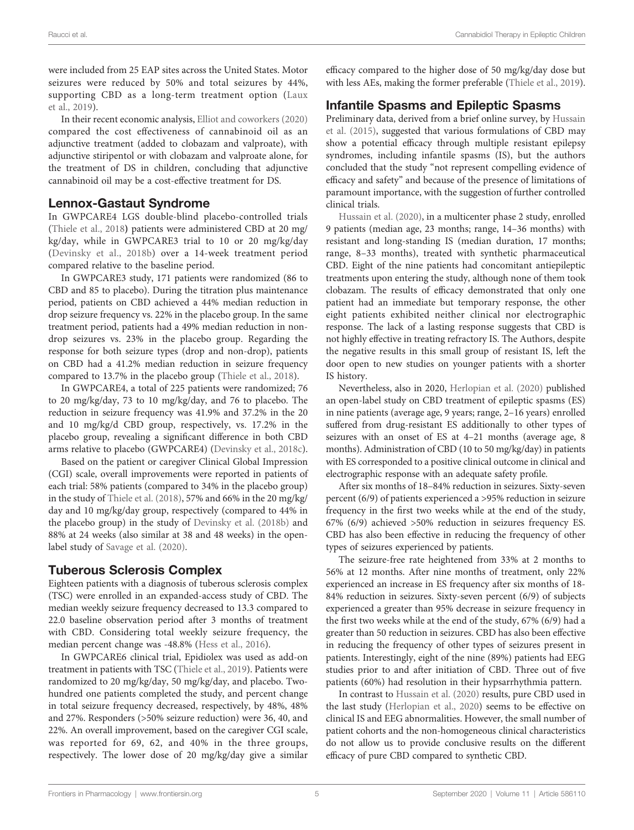were included from 25 EAP sites across the United States. Motor seizures were reduced by 50% and total seizures by 44%, supporting CBD as a long-term treatment option ([Laux](#page-8-0) [et al., 2019\)](#page-8-0).

In their recent economic analysis, [Elliot and coworkers \(2020\)](#page-7-0) compared the cost effectiveness of cannabinoid oil as an adjunctive treatment (added to clobazam and valproate), with adjunctive stiripentol or with clobazam and valproate alone, for the treatment of DS in children, concluding that adjunctive cannabinoid oil may be a cost-effective treatment for DS.

#### Lennox-Gastaut Syndrome

In GWPCARE4 LGS double-blind placebo-controlled trials ([Thiele et al., 2018](#page-9-0)) patients were administered CBD at 20 mg/ kg/day, while in GWPCARE3 trial to 10 or 20 mg/kg/day ([Devinsky et al., 2018b\)](#page-7-0) over a 14-week treatment period compared relative to the baseline period.

In GWPCARE3 study, 171 patients were randomized (86 to CBD and 85 to placebo). During the titration plus maintenance period, patients on CBD achieved a 44% median reduction in drop seizure frequency vs. 22% in the placebo group. In the same treatment period, patients had a 49% median reduction in nondrop seizures vs. 23% in the placebo group. Regarding the response for both seizure types (drop and non-drop), patients on CBD had a 41.2% median reduction in seizure frequency compared to 13.7% in the placebo group ([Thiele et al., 2018\)](#page-9-0).

In GWPCARE4, a total of 225 patients were randomized; 76 to 20 mg/kg/day, 73 to 10 mg/kg/day, and 76 to placebo. The reduction in seizure frequency was 41.9% and 37.2% in the 20 and 10 mg/kg/d CBD group, respectively, vs. 17.2% in the placebo group, revealing a significant difference in both CBD arms relative to placebo (GWPCARE4) ([Devinsky et al., 2018c\)](#page-7-0).

Based on the patient or caregiver Clinical Global Impression (CGI) scale, overall improvements were reported in patients of each trial: 58% patients (compared to 34% in the placebo group) in the study of [Thiele et al. \(2018\),](#page-9-0) 57% and 66% in the 20 mg/kg/ day and 10 mg/kg/day group, respectively (compared to 44% in the placebo group) in the study of [Devinsky et al. \(2018b\)](#page-7-0) and 88% at 24 weeks (also similar at 38 and 48 weeks) in the openlabel study of [Savage et al. \(2020\).](#page-8-0)

## Tuberous Sclerosis Complex

Eighteen patients with a diagnosis of tuberous sclerosis complex (TSC) were enrolled in an expanded-access study of CBD. The median weekly seizure frequency decreased to 13.3 compared to 22.0 baseline observation period after 3 months of treatment with CBD. Considering total weekly seizure frequency, the median percent change was -48.8% [\(Hess et al., 2016\)](#page-7-0).

In GWPCARE6 clinical trial, Epidiolex was used as add-on treatment in patients with TSC [\(Thiele et al., 2019\)](#page-9-0). Patients were randomized to 20 mg/kg/day, 50 mg/kg/day, and placebo. Twohundred one patients completed the study, and percent change in total seizure frequency decreased, respectively, by 48%, 48% and 27%. Responders (>50% seizure reduction) were 36, 40, and 22%. An overall improvement, based on the caregiver CGI scale, was reported for 69, 62, and 40% in the three groups, respectively. The lower dose of 20 mg/kg/day give a similar

efficacy compared to the higher dose of 50 mg/kg/day dose but with less AEs, making the former preferable [\(Thiele et al., 2019\)](#page-9-0).

## Infantile Spasms and Epileptic Spasms

Preliminary data, derived from a brief online survey, by [Hussain](#page-8-0) [et al. \(2015\)](#page-8-0), suggested that various formulations of CBD may show a potential efficacy through multiple resistant epilepsy syndromes, including infantile spasms (IS), but the authors concluded that the study "not represent compelling evidence of efficacy and safety" and because of the presence of limitations of paramount importance, with the suggestion of further controlled clinical trials.

[Hussain et al. \(2020\)](#page-8-0), in a multicenter phase 2 study, enrolled 9 patients (median age, 23 months; range, 14–36 months) with resistant and long-standing IS (median duration, 17 months; range, 8–33 months), treated with synthetic pharmaceutical CBD. Eight of the nine patients had concomitant antiepileptic treatments upon entering the study, although none of them took clobazam. The results of efficacy demonstrated that only one patient had an immediate but temporary response, the other eight patients exhibited neither clinical nor electrographic response. The lack of a lasting response suggests that CBD is not highly effective in treating refractory IS. The Authors, despite the negative results in this small group of resistant IS, left the door open to new studies on younger patients with a shorter IS history.

Nevertheless, also in 2020, [Herlopian et al. \(2020\)](#page-7-0) published an open-label study on CBD treatment of epileptic spasms (ES) in nine patients (average age, 9 years; range, 2–16 years) enrolled suffered from drug-resistant ES additionally to other types of seizures with an onset of ES at 4–21 months (average age, 8 months). Administration of CBD (10 to 50 mg/kg/day) in patients with ES corresponded to a positive clinical outcome in clinical and electrographic response with an adequate safety profile.

After six months of 18–84% reduction in seizures. Sixty-seven percent (6/9) of patients experienced a >95% reduction in seizure frequency in the first two weeks while at the end of the study, 67% (6/9) achieved >50% reduction in seizures frequency ES. CBD has also been effective in reducing the frequency of other types of seizures experienced by patients.

The seizure-free rate heightened from 33% at 2 months to 56% at 12 months. After nine months of treatment, only 22% experienced an increase in ES frequency after six months of 18- 84% reduction in seizures. Sixty-seven percent (6/9) of subjects experienced a greater than 95% decrease in seizure frequency in the first two weeks while at the end of the study, 67% (6/9) had a greater than 50 reduction in seizures. CBD has also been effective in reducing the frequency of other types of seizures present in patients. Interestingly, eight of the nine (89%) patients had EEG studies prior to and after initiation of CBD. Three out of five patients (60%) had resolution in their hypsarrhythmia pattern.

In contrast to [Hussain et al. \(2020\)](#page-8-0) results, pure CBD used in the last study [\(Herlopian et al., 2020\)](#page-7-0) seems to be effective on clinical IS and EEG abnormalities. However, the small number of patient cohorts and the non-homogeneous clinical characteristics do not allow us to provide conclusive results on the different efficacy of pure CBD compared to synthetic CBD.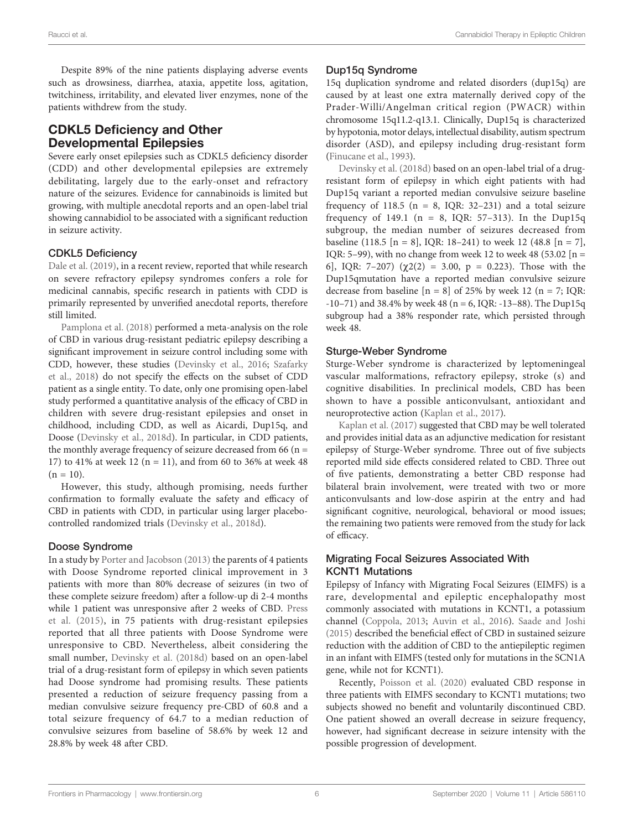Despite 89% of the nine patients displaying adverse events such as drowsiness, diarrhea, ataxia, appetite loss, agitation, twitchiness, irritability, and elevated liver enzymes, none of the patients withdrew from the study.

# CDKL5 Deficiency and Other Developmental Epilepsies

Severe early onset epilepsies such as CDKL5 deficiency disorder (CDD) and other developmental epilepsies are extremely debilitating, largely due to the early-onset and refractory nature of the seizures. Evidence for cannabinoids is limited but growing, with multiple anecdotal reports and an open-label trial showing cannabidiol to be associated with a significant reduction in seizure activity.

#### CDKL5 Deficiency

[Dale et al. \(2019\)](#page-7-0), in a recent review, reported that while research on severe refractory epilepsy syndromes confers a role for medicinal cannabis, specific research in patients with CDD is primarily represented by unverified anecdotal reports, therefore still limited.

[Pamplona et al. \(2018\)](#page-8-0) performed a meta-analysis on the role of CBD in various drug-resistant pediatric epilepsy describing a significant improvement in seizure control including some with CDD, however, these studies [\(Devinsky et al., 2016;](#page-7-0) [Szafarky](#page-9-0) [et al., 2018](#page-9-0)) do not specify the effects on the subset of CDD patient as a single entity. To date, only one promising open-label study performed a quantitative analysis of the efficacy of CBD in children with severe drug-resistant epilepsies and onset in childhood, including CDD, as well as Aicardi, Dup15q, and Doose ([Devinsky et al., 2018d](#page-7-0)). In particular, in CDD patients, the monthly average frequency of seizure decreased from 66 ( $n =$ 17) to 41% at week 12 ( $n = 11$ ), and from 60 to 36% at week 48  $(n = 10)$ .

However, this study, although promising, needs further confirmation to formally evaluate the safety and efficacy of CBD in patients with CDD, in particular using larger placebocontrolled randomized trials [\(Devinsky et al., 2018d\)](#page-7-0).

#### Doose Syndrome

In a study by [Porter and Jacobson \(2013\)](#page-7-0) the parents of 4 patients with Doose Syndrome reported clinical improvement in 3 patients with more than 80% decrease of seizures (in two of these complete seizure freedom) after a follow-up di 2-4 months while 1 patient was unresponsive after 2 weeks of CBD. [Press](#page-8-0) [et al. \(2015\)](#page-8-0), in 75 patients with drug-resistant epilepsies reported that all three patients with Doose Syndrome were unresponsive to CBD. Nevertheless, albeit considering the small number, [Devinsky et al. \(2018d\)](#page-7-0) based on an open-label trial of a drug-resistant form of epilepsy in which seven patients had Doose syndrome had promising results. These patients presented a reduction of seizure frequency passing from a median convulsive seizure frequency pre-CBD of 60.8 and a total seizure frequency of 64.7 to a median reduction of convulsive seizures from baseline of 58.6% by week 12 and 28.8% by week 48 after CBD.

#### Dup15q Syndrome

15q duplication syndrome and related disorders (dup15q) are caused by at least one extra maternally derived copy of the Prader-Willi/Angelman critical region (PWACR) within chromosome 15q11.2-q13.1. Clinically, Dup15q is characterized by hypotonia, motor delays, intellectual disability, autism spectrum disorder (ASD), and epilepsy including drug-resistant form [\(Finucane et al., 1993\)](#page-7-0).

[Devinsky et al. \(2018d\)](#page-7-0) based on an open-label trial of a drugresistant form of epilepsy in which eight patients with had Dup15q variant a reported median convulsive seizure baseline frequency of 118.5 ( $n = 8$ , IQR: 32–231) and a total seizure frequency of 149.1 (n = 8, IQR:  $57-313$ ). In the Dup15q subgroup, the median number of seizures decreased from baseline (118.5 [n = 8], IQR: 18–241) to week 12 (48.8 [n = 7], IQR: 5–99), with no change from week 12 to week 48 (53.02  $[n =$ 6], IQR: 7-207) ( $\chi$ 2(2) = 3.00, p = 0.223). Those with the Dup15qmutation have a reported median convulsive seizure decrease from baseline  $[n = 8]$  of 25% by week 12 (n = 7; IQR: -10–71) and 38.4% by week 48 (n = 6, IQR: -13–88). The Dup15q subgroup had a 38% responder rate, which persisted through week 48.

#### Sturge-Weber Syndrome

Sturge-Weber syndrome is characterized by leptomeningeal vascular malformations, refractory epilepsy, stroke (s) and cognitive disabilities. In preclinical models, CBD has been shown to have a possible anticonvulsant, antioxidant and neuroprotective action [\(Kaplan et al., 2017\)](#page-8-0).

[Kaplan et al. \(2017\)](#page-8-0) suggested that CBD may be well tolerated and provides initial data as an adjunctive medication for resistant epilepsy of Sturge-Weber syndrome. Three out of five subjects reported mild side effects considered related to CBD. Three out of five patients, demonstrating a better CBD response had bilateral brain involvement, were treated with two or more anticonvulsants and low-dose aspirin at the entry and had significant cognitive, neurological, behavioral or mood issues; the remaining two patients were removed from the study for lack of efficacy.

#### Migrating Focal Seizures Associated With KCNT1 Mutations

Epilepsy of Infancy with Migrating Focal Seizures (EIMFS) is a rare, developmental and epileptic encephalopathy most commonly associated with mutations in KCNT1, a potassium channel [\(Coppola, 2013;](#page-7-0) [Auvin et al., 2016\)](#page-7-0). [Saade and Joshi](#page-8-0) [\(2015\)](#page-8-0) described the beneficial effect of CBD in sustained seizure reduction with the addition of CBD to the antiepileptic regimen in an infant with EIMFS (tested only for mutations in the SCN1A gene, while not for KCNT1).

Recently, [Poisson et al. \(2020\)](#page-8-0) evaluated CBD response in three patients with EIMFS secondary to KCNT1 mutations; two subjects showed no benefit and voluntarily discontinued CBD. One patient showed an overall decrease in seizure frequency, however, had significant decrease in seizure intensity with the possible progression of development.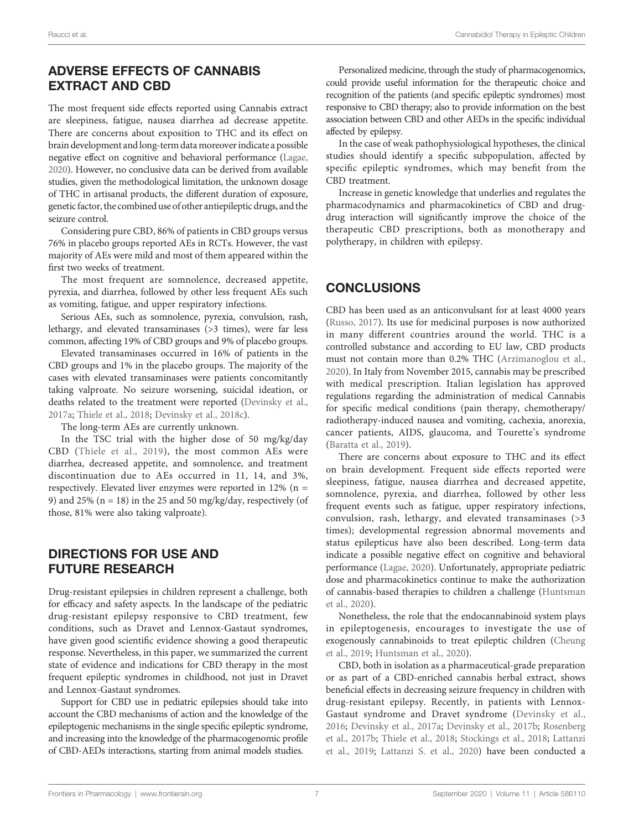# ADVERSE EFFECTS OF CANNABIS EXTRACT AND CBD

The most frequent side effects reported using Cannabis extract are sleepiness, fatigue, nausea diarrhea ad decrease appetite. There are concerns about exposition to THC and its effect on brain development and long-term datamoreover indicate a possible negative effect on cognitive and behavioral performance ([Lagae,](#page-8-0) [2020](#page-8-0)). However, no conclusive data can be derived from available studies, given the methodological limitation, the unknown dosage of THC in artisanal products, the different duration of exposure, genetic factor, the combined use of other antiepileptic drugs, and the seizure control.

Considering pure CBD, 86% of patients in CBD groups versus 76% in placebo groups reported AEs in RCTs. However, the vast majority of AEs were mild and most of them appeared within the first two weeks of treatment.

The most frequent are somnolence, decreased appetite, pyrexia, and diarrhea, followed by other less frequent AEs such as vomiting, fatigue, and upper respiratory infections.

Serious AEs, such as somnolence, pyrexia, convulsion, rash, lethargy, and elevated transaminases (>3 times), were far less common, affecting 19% of CBD groups and 9% of placebo groups.

Elevated transaminases occurred in 16% of patients in the CBD groups and 1% in the placebo groups. The majority of the cases with elevated transaminases were patients concomitantly taking valproate. No seizure worsening, suicidal ideation, or deaths related to the treatment were reported [\(Devinsky et al.,](#page-7-0) [2017a;](#page-7-0) [Thiele et al., 2018;](#page-9-0) [Devinsky et al., 2018c](#page-7-0)).

The long-term AEs are currently unknown.

In the TSC trial with the higher dose of 50 mg/kg/day CBD ([Thiele et al., 2019\)](#page-9-0), the most common AEs were diarrhea, decreased appetite, and somnolence, and treatment discontinuation due to AEs occurred in 11, 14, and 3%, respectively. Elevated liver enzymes were reported in 12% (n = 9) and 25% ( $n = 18$ ) in the 25 and 50 mg/kg/day, respectively (of those, 81% were also taking valproate).

## DIRECTIONS FOR USE AND FUTURE RESEARCH

Drug-resistant epilepsies in children represent a challenge, both for efficacy and safety aspects. In the landscape of the pediatric drug-resistant epilepsy responsive to CBD treatment, few conditions, such as Dravet and Lennox-Gastaut syndromes, have given good scientific evidence showing a good therapeutic response. Nevertheless, in this paper, we summarized the current state of evidence and indications for CBD therapy in the most frequent epileptic syndromes in childhood, not just in Dravet and Lennox-Gastaut syndromes.

Support for CBD use in pediatric epilepsies should take into account the CBD mechanisms of action and the knowledge of the epileptogenic mechanisms in the single specific epileptic syndrome, and increasing into the knowledge of the pharmacogenomic profile of CBD-AEDs interactions, starting from animal models studies.

Personalized medicine, through the study of pharmacogenomics, could provide useful information for the therapeutic choice and recognition of the patients (and specific epileptic syndromes) most responsive to CBD therapy; also to provide information on the best association between CBD and other AEDs in the specific individual affected by epilepsy.

In the case of weak pathophysiological hypotheses, the clinical studies should identify a specific subpopulation, affected by specific epileptic syndromes, which may benefit from the CBD treatment.

Increase in genetic knowledge that underlies and regulates the pharmacodynamics and pharmacokinetics of CBD and drugdrug interaction will significantly improve the choice of the therapeutic CBD prescriptions, both as monotherapy and polytherapy, in children with epilepsy.

# **CONCLUSIONS**

CBD has been used as an anticonvulsant for at least 4000 years [\(Russo, 2017](#page-8-0)). Its use for medicinal purposes is now authorized in many different countries around the world. THC is a controlled substance and according to EU law, CBD products must not contain more than 0.2% THC [\(Arzimanoglou et al.,](#page-7-0) [2020](#page-7-0)). In Italy from November 2015, cannabis may be prescribed with medical prescription. Italian legislation has approved regulations regarding the administration of medical Cannabis for specific medical conditions (pain therapy, chemotherapy/ radiotherapy-induced nausea and vomiting, cachexia, anorexia, cancer patients, AIDS, glaucoma, and Tourette's syndrome [\(Baratta et al., 2019\)](#page-7-0).

There are concerns about exposure to THC and its effect on brain development. Frequent side effects reported were sleepiness, fatigue, nausea diarrhea and decreased appetite, somnolence, pyrexia, and diarrhea, followed by other less frequent events such as fatigue, upper respiratory infections, convulsion, rash, lethargy, and elevated transaminases (>3 times); developmental regression abnormal movements and status epilepticus have also been described. Long-term data indicate a possible negative effect on cognitive and behavioral performance [\(Lagae, 2020](#page-8-0)). Unfortunately, appropriate pediatric dose and pharmacokinetics continue to make the authorization of cannabis-based therapies to children a challenge [\(Huntsman](#page-8-0) [et al., 2020\)](#page-8-0).

Nonetheless, the role that the endocannabinoid system plays in epileptogenesis, encourages to investigate the use of exogenously cannabinoids to treat epileptic children [\(Cheung](#page-7-0) [et al., 2019;](#page-7-0) [Huntsman et al., 2020](#page-8-0)).

CBD, both in isolation as a pharmaceutical-grade preparation or as part of a CBD-enriched cannabis herbal extract, shows beneficial effects in decreasing seizure frequency in children with drug-resistant epilepsy. Recently, in patients with Lennox-Gastaut syndrome and Dravet syndrome ([Devinsky et al.,](#page-7-0) [2016](#page-7-0); [Devinsky et al., 2017a](#page-7-0); [Devinsky et al., 2017b;](#page-7-0) [Rosenberg](#page-8-0) [et al., 2017b](#page-8-0); [Thiele et al., 2018](#page-9-0); [Stockings et al., 2018;](#page-9-0) [Lattanzi](#page-8-0) [et al., 2019](#page-8-0); [Lattanzi S. et al., 2020](#page-8-0)) have been conducted a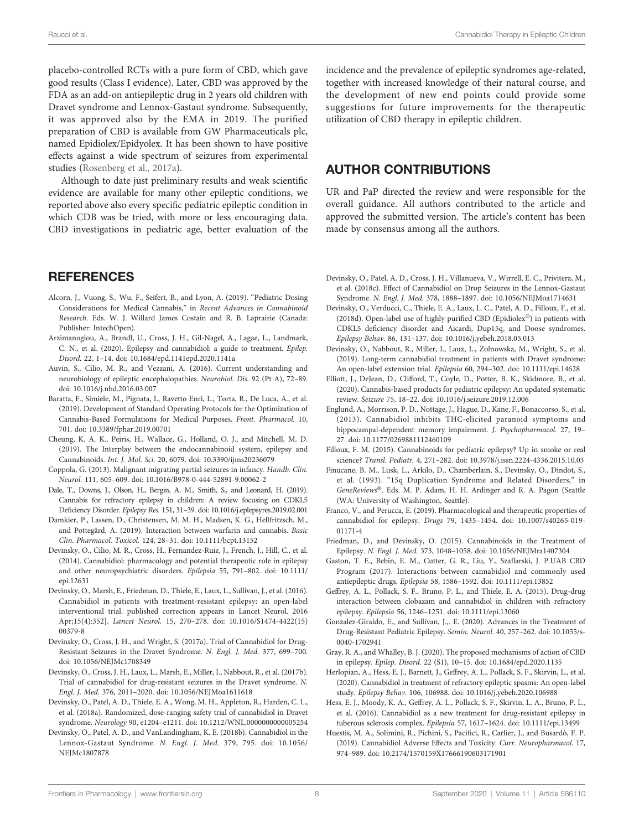<span id="page-7-0"></span>placebo-controlled RCTs with a pure form of CBD, which gave good results (Class I evidence). Later, CBD was approved by the FDA as an add-on antiepileptic drug in 2 years old children with Dravet syndrome and Lennox-Gastaut syndrome. Subsequently, it was approved also by the EMA in 2019. The purified preparation of CBD is available from GW Pharmaceuticals plc, named Epidiolex/Epidyolex. It has been shown to have positive effects against a wide spectrum of seizures from experimental studies ([Rosenberg et al., 2017a\)](#page-8-0).

Although to date just preliminary results and weak scientific evidence are available for many other epileptic conditions, we reported above also every specific pediatric epileptic condition in which CDB was be tried, with more or less encouraging data. CBD investigations in pediatric age, better evaluation of the

#### **REFERENCES**

- Alcorn, J., Vuong, S., Wu, F., Seifert, B., and Lyon, A. (2019). "Pediatric Dosing Considerations for Medical Cannabis," in Recent Advances in Cannabinoid Research. Eds. W. J. Willard James Costain and R. B. Laprairie (Canada: Publisher: IntechOpen).
- Arzimanoglou, A., Brandl, U., Cross, J. H., Gil-Nagel, A., Lagae, L., Landmark, C. N., et al. (2020). Epilepsy and cannabidiol: a guide to treatment. Epilep. Disord. 22, 1–14. doi: [10.1684/epd.1141epd.2020.1141a](https://doi.org/10.1684/epd.1141epd.2020.1141a)
- Auvin, S., Cilio, M. R., and Vezzani, A. (2016). Current understanding and neurobiology of epileptic encephalopathies. Neurobiol. Dis. 92 (Pt A), 72–89. doi: [10.1016/j.nbd.2016.03.007](https://doi.org/10.1016/j.nbd.2016.03.007)
- Baratta, F., Simiele, M., Pignata, I., Ravetto Enri, L., Torta, R., De Luca, A., et al. (2019). Development of Standard Operating Protocols for the Optimization of Cannabis-Based Formulations for Medical Purposes. Front. Pharmacol. 10, 701. doi: [10.3389/fphar.2019.00701](https://doi.org/10.3389/fphar.2019.00701)
- Cheung, K. A. K., Peiris, H., Wallace, G., Holland, O. J., and Mitchell, M. D. (2019). The Interplay between the endocannabinoid system, epilepsy and Cannabinoids. Int. J. Mol. Sci. 20, 6079. doi: [10.3390/ijms20236079](https://doi.org/10.3390/ijms20236079)
- Coppola, G. (2013). Malignant migrating partial seizures in infancy. Handb. Clin. Neurol. 111, 605–609. doi: [10.1016/B978-0-444-52891-9.00062-2](https://doi.org/10.1016/B978-0-444-52891-9.00062-2)
- Dale, T., Downs, J., Olson, H., Bergin, A. M., Smith, S., and Leonard, H. (2019). Cannabis for refractory epilepsy in children: A review focusing on CDKL5 Deficiency Disorder. Epilepsy Res. 151, 31–39. doi: [10.1016/j.eplepsyres.2019.02.001](https://doi.org/10.1016/j.eplepsyres.2019.02.001)
- Damkier, P., Lassen, D., Christensen, M. M. H., Madsen, K. G., Hellfritzsch, M., and Pottegård, A. (2019). Interaction between warfarin and cannabis. Basic Clin. Pharmacol. Toxicol. 124, 28–31. doi: [10.1111/bcpt.13152](https://doi.org/10.1111/bcpt.13152)
- Devinsky, O., Cilio, M. R., Cross, H., Fernandez-Ruiz, J., French, J., Hill, C., et al. (2014). Cannabidiol: pharmacology and potential therapeutic role in epilepsy and other neuropsychiatric disorders. Epilepsia 55, 791–802. doi: [10.1111/](https://doi.org/10.1111/epi.12631) [epi.12631](https://doi.org/10.1111/epi.12631)
- Devinsky, O., Marsh, E., Friedman, D., Thiele, E., Laux, L., Sullivan, J., et al. (2016). Cannabidiol in patients with treatment-resistant epilepsy: an open-label interventional trial. published correction appears in Lancet Neurol. 2016 Apr;15(4):352]. Lancet Neurol. 15, 270–278. doi: [10.1016/S1474-4422\(15\)](https://doi.org/10.1016/S1474-4422(15)00379-8) [00379-8](https://doi.org/10.1016/S1474-4422(15)00379-8)
- Devinsky, O., Cross, J. H., and Wright, S. (2017a). Trial of Cannabidiol for Drug-Resistant Seizures in the Dravet Syndrome. N. Engl. J. Med. 377, 699–700. doi: [10.1056/NEJMc1708349](https://doi.org/10.1056/NEJMc1708349)
- Devinsky, O., Cross, J. H., Laux, L., Marsh, E., Miller, I., Nabbout, R., et al. (2017b). Trial of cannabidiol for drug-resistant seizures in the Dravet syndrome. N. Engl. J. Med. 376, 2011–2020. doi: [10.1056/NEJMoa1611618](https://doi.org/10.1056/NEJMoa1611618)
- Devinsky, O., Patel, A. D., Thiele, E. A., Wong, M. H., Appleton, R., Harden, C. L., et al. (2018a). Randomized, dose-ranging safety trial of cannabidiol in Dravet syndrome. Neurology 90, e1204–e1211. doi: [10.1212/WNL.0000000000005254](https://doi.org/10.1212/WNL.0000000000005254)
- Devinsky, O., Patel, A. D., and VanLandingham, K. E. (2018b). Cannabidiol in the Lennox-Gastaut Syndrome. N. Engl. J. Med. 379, 795. doi: [10.1056/](https://doi.org/10.1056/NEJMc1807878) [NEJMc1807878](https://doi.org/10.1056/NEJMc1807878)

incidence and the prevalence of epileptic syndromes age-related, together with increased knowledge of their natural course, and the development of new end points could provide some suggestions for future improvements for the therapeutic utilization of CBD therapy in epileptic children.

### AUTHOR CONTRIBUTIONS

UR and PaP directed the review and were responsible for the overall guidance. All authors contributed to the article and approved the submitted version. The article's content has been made by consensus among all the authors.

- Devinsky, O., Patel, A. D., Cross, J. H., Villanueva, V., Wirrell, E. C., Privitera, M., et al. (2018c). Effect of Cannabidiol on Drop Seizures in the Lennox-Gastaut Syndrome. N. Engl. J. Med. 378, 1888–1897. doi: [10.1056/NEJMoa1714631](https://doi.org/10.1056/NEJMoa1714631)
- Devinsky, O., Verducci, C., Thiele, E. A., Laux, L. C., Patel, A. D., Filloux, F., et al. (2018d). Open-label use of highly purified CBD (Epidiolex®) in patients with CDKL5 deficiency disorder and Aicardi, Dup15q, and Doose syndromes. Epilepsy Behav. 86, 131–137. doi: [10.1016/j.yebeh.2018.05.013](https://doi.org/10.1016/j.yebeh.2018.05.013)
- Devinsky, O., Nabbout, R., Miller, I., Laux, L., Zolnowska, M., Wright, S., et al. (2019). Long-term cannabidiol treatment in patients with Dravet syndrome: An open-label extension trial. Epilepsia 60, 294–302. doi: [10.1111/epi.14628](https://doi.org/10.1111/epi.14628)
- Elliott, J., DeJean, D., Clifford, T., Coyle, D., Potter, B. K., Skidmore, B., et al. (2020). Cannabis-based products for pediatric epilepsy: An updated systematic review. Seizure 75, 18–22. doi: [10.1016/j.seizure.2019.12.006](https://doi.org/10.1016/j.seizure.2019.12.006)
- Englund, A., Morrison, P. D., Nottage, J., Hague, D., Kane, F., Bonaccorso, S., et al. (2013). Cannabidiol inhibits THC-elicited paranoid symptoms and hippocampal-dependent memory impairment. J. Psychopharmacol. 27, 19– 27. doi: [10.1177/0269881112460109](https://doi.org/10.1177/0269881112460109)
- Filloux, F. M. (2015). Cannabinoids for pediatric epilepsy? Up in smoke or real science? Transl. Pediatr. 4, 271–282. doi: [10.3978/j.issn.2224-4336.2015.10.03](https://doi.org/10.3978/j.issn.2224-4336.2015.10.03)
- Finucane, B. M., Lusk, L., Arkilo, D., Chamberlain, S., Devinsky, O., Dindot, S., et al. (1993). "15q Duplication Syndrome and Related Disorders," in GeneReviews®. Eds. M. P. Adam, H. H. Ardinger and R. A. Pagon (Seattle (WA: University of Washington, Seattle).
- Franco, V., and Perucca, E. (2019). Pharmacological and therapeutic properties of cannabidiol for epilepsy. Drugs 79, 1435–1454. doi: [10.1007/s40265-019-](https://doi.org/10.1007/s40265-019-01171-4) [01171-4](https://doi.org/10.1007/s40265-019-01171-4)
- Friedman, D., and Devinsky, O. (2015). Cannabinoids in the Treatment of Epilepsy. N. Engl. J. Med. 373, 1048–1058. doi: [10.1056/NEJMra1407304](https://doi.org/10.1056/NEJMra1407304)
- Gaston, T. E., Bebin, E. M., Cutter, G. R., Liu, Y., Szaflarski, J. P.UAB CBD Program (2017). Interactions between cannabidiol and commonly used antiepileptic drugs. Epilepsia 58, 1586–1592. doi: [10.1111/epi.13852](https://doi.org/10.1111/epi.13852)
- Geffrey, A. L., Pollack, S. F., Bruno, P. L., and Thiele, E. A. (2015). Drug-drug interaction between clobazam and cannabidiol in children with refractory epilepsy. Epilepsia 56, 1246–1251. doi: [10.1111/epi.13060](https://doi.org/10.1111/epi.13060)
- Gonzalez-Giraldo, E., and Sullivan, J.,. E. (2020). Advances in the Treatment of Drug-Resistant Pediatric Epilepsy. Semin. Neurol. 40, 257–262. doi: [10.1055/s-](https://doi.org/10.1055/s-0040-1702941)[0040-1702941](https://doi.org/10.1055/s-0040-1702941)
- Gray, R. A., and Whalley, B. J. (2020). The proposed mechanisms of action of CBD in epilepsy. Epilep. Disord. 22 (S1), 10–15. doi: [10.1684/epd.2020.1135](https://doi.org/10.1684/epd.2020.1135)
- Herlopian, A., Hess, E. J., Barnett, J., Geffrey, A. L., Pollack, S. F., Skirvin, L., et al. (2020). Cannabidiol in treatment of refractory epileptic spasms: An open-label study. Epilepsy Behav. 106, 106988. doi: [10.1016/j.yebeh.2020.106988](https://doi.org/10.1016/j.yebeh.2020.106988)
- Hess, E. J., Moody, K. A., Geffrey, A. L., Pollack, S. F., Skirvin, L. A., Bruno, P. L., et al. (2016). Cannabidiol as a new treatment for drug-resistant epilepsy in tuberous sclerosis complex. Epilepsia 57, 1617–1624. doi: [10.1111/epi.13499](https://doi.org/10.1111/epi.13499)
- Huestis, M. A., Solimini, R., Pichini, S., Pacifici, R., Carlier, J., and Busardò, F. P. (2019). Cannabidiol Adverse Effects and Toxicity. Curr. Neuropharmacol. 17, 974–989. doi: [10.2174/1570159X17666190603171901](https://doi.org/10.2174/1570159X17666190603171901)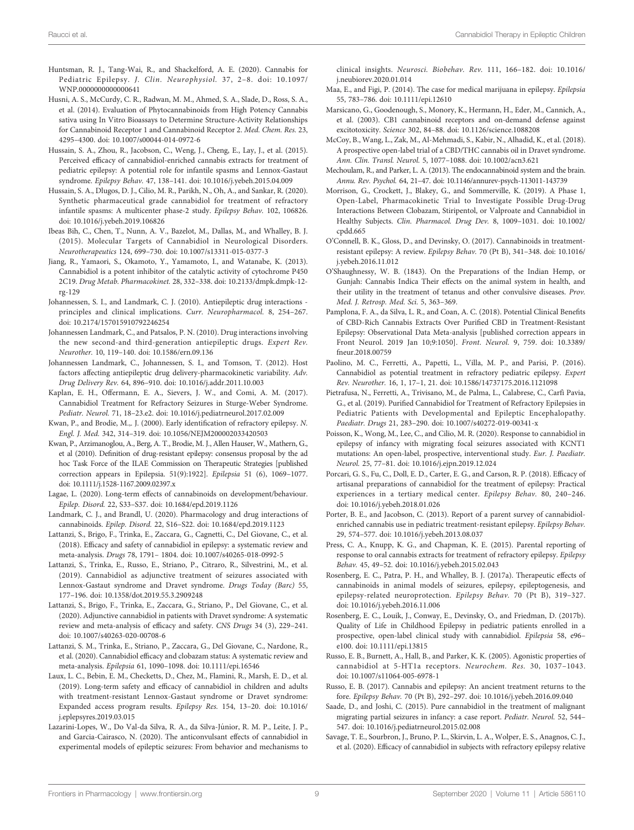- <span id="page-8-0"></span>Huntsman, R. J., Tang-Wai, R., and Shackelford, A. E. (2020). Cannabis for Pediatric Epilepsy. J. Clin. Neurophysiol. 37, 2–8. doi: [10.1097/](https://doi.org/10.1097/WNP.0000000000000641) [WNP.0000000000000641](https://doi.org/10.1097/WNP.0000000000000641)
- Husni, A. S., McCurdy, C. R., Radwan, M. M., Ahmed, S. A., Slade, D., Ross, S. A., et al. (2014). Evaluation of Phytocannabinoids from High Potency Cannabis sativa using In Vitro Bioassays to Determine Structure-Activity Relationships for Cannabinoid Receptor 1 and Cannabinoid Receptor 2. Med. Chem. Res. 23, 4295–4300. doi: [10.1007/s00044-014-0972-6](https://doi.org/10.1007/s00044-014-0972-6)
- Hussain, S. A., Zhou, R., Jacobson, C., Weng, J., Cheng, E., Lay, J., et al. (2015). Perceived efficacy of cannabidiol-enriched cannabis extracts for treatment of pediatric epilepsy: A potential role for infantile spasms and Lennox-Gastaut syndrome. Epilepsy Behav. 47, 138–141. doi: [10.1016/j.yebeh.2015.04.009](https://doi.org/10.1016/j.yebeh.2015.04.009)
- Hussain, S. A., Dlugos, D. J., Cilio, M. R., Parikh, N., Oh, A., and Sankar, R. (2020). Synthetic pharmaceutical grade cannabidiol for treatment of refractory infantile spasms: A multicenter phase-2 study. Epilepsy Behav. 102, 106826. doi: [10.1016/j.yebeh.2019.106826](https://doi.org/10.1016/j.yebeh.2019.106826)
- Ibeas Bih, C., Chen, T., Nunn, A. V., Bazelot, M., Dallas, M., and Whalley, B. J. (2015). Molecular Targets of Cannabidiol in Neurological Disorders. Neurotherapeutics 124, 699–730. doi: [10.1007/s13311-015-0377-3](https://doi.org/10.1007/s13311-015-0377-3)
- Jiang, R., Yamaori, S., Okamoto, Y., Yamamoto, I., and Watanabe, K. (2013). Cannabidiol is a potent inhibitor of the catalytic activity of cytochrome P450 2C19. Drug Metab. Pharmacokinet. 28, 332–338. doi: [10.2133/dmpk.dmpk-12](https://doi.org/10.2133/dmpk.dmpk-12-rg-129) [rg-129](https://doi.org/10.2133/dmpk.dmpk-12-rg-129)
- Johannessen, S. I., and Landmark, C. J. (2010). Antiepileptic drug interactions principles and clinical implications. Curr. Neuropharmacol. 8, 254–267. doi: [10.2174/157015910792246254](https://doi.org/10.2174/157015910792246254)
- Johannessen Landmark, C., and Patsalos, P. N. (2010). Drug interactions involving the new second-and third-generation antiepileptic drugs. Expert Rev. Neurother. 10, 119–140. doi: [10.1586/ern.09.136](https://doi.org/10.1586/ern.09.136)
- Johannessen Landmark, C., Johannessen, S. I., and Tomson, T. (2012). Host factors affecting antiepileptic drug delivery-pharmacokinetic variability. Adv. Drug Delivery Rev. 64, 896–910. doi: [10.1016/j.addr.2011.10.003](https://doi.org/10.1016/j.addr.2011.10.003)
- Kaplan, E. H., Offermann, E. A., Sievers, J. W., and Comi, A. M. (2017). Cannabidiol Treatment for Refractory Seizures in Sturge-Weber Syndrome. Pediatr. Neurol. 71, 18–23.e2. doi: [10.1016/j.pediatrneurol.2017.02.009](https://doi.org/10.1016/j.pediatrneurol.2017.02.009)
- Kwan, P., and Brodie, M.,. J. (2000). Early identification of refractory epilepsy. N. Engl. J. Med. 342, 314–319. doi: [10.1056/NEJM200002033420503](https://doi.org/10.1056/NEJM200002033420503)
- Kwan, P., Arzimanoglou, A., Berg, A. T., Brodie, M. J., Allen Hauser, W., Mathern, G., et al (2010). Definition of drug-resistant epilepsy: consensus proposal by the ad hoc Task Force of the ILAE Commission on Therapeutic Strategies [published correction appears in Epilepsia. 51(9):1922]. Epilepsia 51 (6), 1069–1077. doi: [10.1111/j.1528-1167.2009.02397.x](https://doi.org/10.1111/j.1528-1167.2009.02397.x)
- Lagae, L. (2020). Long-term effects of cannabinoids on development/behaviour. Epilep. Disord. 22, S33–S37. doi: [10.1684/epd.2019.1126](https://doi.org/10.1684/epd.2019.1126)
- Landmark, C. J., and Brandl, U. (2020). Pharmacology and drug interactions of cannabinoids. Epilep. Disord. 22, S16–S22. doi: [10.1684/epd.2019.1123](https://doi.org/10.1684/epd.2019.1123)
- Lattanzi, S., Brigo, F., Trinka, E., Zaccara, G., Cagnetti, C., Del Giovane, C., et al. (2018). Efficacy and safety of cannabidiol in epilepsy: a systematic review and meta-analysis. Drugs 78, 1791– 1804. doi: [10.1007/s40265-018-0992-5](https://doi.org/10.1007/s40265-018-0992-5)
- Lattanzi, S., Trinka, E., Russo, E., Striano, P., Citraro, R., Silvestrini, M., et al. (2019). Cannabidiol as adjunctive treatment of seizures associated with Lennox-Gastaut syndrome and Dravet syndrome. Drugs Today (Barc) 55, 177–196. doi: [10.1358/dot.2019.55.3.2909248](https://doi.org/10.1358/dot.2019.55.3.2909248)
- Lattanzi, S., Brigo, F., Trinka, E., Zaccara, G., Striano, P., Del Giovane, C., et al. (2020). Adjunctive cannabidiol in patients with Dravet syndrome: A systematic review and meta-analysis of efficacy and safety. CNS Drugs 34 (3), 229–241. doi: [10.1007/s40263-020-00708-6](https://doi.org/10.1007/s40263-020-00708-6)
- Lattanzi, S. M., Trinka, E., Striano, P., Zaccara, G., Del Giovane, C., Nardone, R., et al. (2020). Cannabidiol efficacy and clobazam status: A systematic review and meta-analysis. Epilepsia 61, 1090–1098. doi: [10.1111/epi.16546](https://doi.org/10.1111/epi.16546)
- Laux, L. C., Bebin, E. M., Checketts, D., Chez, M., Flamini, R., Marsh, E. D., et al. (2019). Long-term safety and efficacy of cannabidiol in children and adults with treatment-resistant Lennox-Gastaut syndrome or Dravet syndrome: Expanded access program results. Epilepsy Res. 154, 13–20. doi: [10.1016/](https://doi.org/10.1016/j.eplepsyres.2019.03.015) [j.eplepsyres.2019.03.015](https://doi.org/10.1016/j.eplepsyres.2019.03.015)
- Lazarini-Lopes, W., Do Val-da Silva, R. A., da Silva-Júnior, R. M. P., Leite, J. P., and Garcia-Cairasco, N. (2020). The anticonvulsant effects of cannabidiol in experimental models of epileptic seizures: From behavior and mechanisms to

clinical insights. Neurosci. Biobehav. Rev. 111, 166–182. doi: [10.1016/](https://doi.org/10.1016/j.neubiorev.2020.01.014) [j.neubiorev.2020.01.014](https://doi.org/10.1016/j.neubiorev.2020.01.014)

- Maa, E., and Figi, P. (2014). The case for medical marijuana in epilepsy. Epilepsia 55, 783–786. doi: [10.1111/epi.12610](https://doi.org/10.1111/epi.12610)
- Marsicano, G., Goodenough, S., Monory, K., Hermann, H., Eder, M., Cannich, A., et al. (2003). CB1 cannabinoid receptors and on-demand defense against excitotoxicity. Science 302, 84–88. doi: [10.1126/science.1088208](https://doi.org/10.1126/science.1088208)
- McCoy, B., Wang, L., Zak, M., Al-Mehmadi, S., Kabir, N., Alhadid, K., et al. (2018). A prospective open-label trial of a CBD/THC cannabis oil in Dravet syndrome. Ann. Clin. Transl. Neurol. 5, 1077–1088. doi: [10.1002/acn3.621](https://doi.org/10.1002/acn3.621)
- Mechoulam, R., and Parker, L. A. (2013). The endocannabinoid system and the brain. Annu. Rev. Psychol. 64, 21–47. doi: [10.1146/annurev-psych-113011-143739](https://doi.org/10.1146/annurev-psych-113011-143739)
- Morrison, G., Crockett, J., Blakey, G., and Sommerville, K. (2019). A Phase 1, Open-Label, Pharmacokinetic Trial to Investigate Possible Drug-Drug Interactions Between Clobazam, Stiripentol, or Valproate and Cannabidiol in Healthy Subjects. Clin. Pharmacol. Drug Dev. 8, 1009–1031. doi: [10.1002/](https://doi.org/10.1002/cpdd.665) [cpdd.665](https://doi.org/10.1002/cpdd.665)
- O'Connell, B. K., Gloss, D., and Devinsky, O. (2017). Cannabinoids in treatmentresistant epilepsy: A review. Epilepsy Behav. 70 (Pt B), 341–348. doi: [10.1016/](https://doi.org/10.1016/j.yebeh.2016.11.012) [j.yebeh.2016.11.012](https://doi.org/10.1016/j.yebeh.2016.11.012)
- O'Shaughnessy, W. B. (1843). On the Preparations of the Indian Hemp, or Gunjah: Cannabis Indica Their effects on the animal system in health, and their utility in the treatment of tetanus and other convulsive diseases. Prov. Med. J. Retrosp. Med. Sci. 5, 363–369.
- Pamplona, F. A., da Silva, L. R., and Coan, A. C. (2018). Potential Clinical Benefits of CBD-Rich Cannabis Extracts Over Purified CBD in Treatment-Resistant Epilepsy: Observational Data Meta-analysis [published correction appears in Front Neurol. 2019 Jan 10;9:1050]. Front. Neurol. 9, 759. doi: [10.3389/](https://doi.org/10.3389/fneur.2018.00759) [fneur.2018.00759](https://doi.org/10.3389/fneur.2018.00759)
- Paolino, M. C., Ferretti, A., Papetti, L., Villa, M. P., and Parisi, P. (2016). Cannabidiol as potential treatment in refractory pediatric epilepsy. Expert Rev. Neurother. 16, 1, 17–1, 21. doi: [10.1586/14737175.2016.1121098](https://doi.org/10.1586/14737175.2016.1121098)
- Pietrafusa, N., Ferretti, A., Trivisano, M., de Palma, L., Calabrese, C., Carfì Pavia, G., et al. (2019). Purified Cannabidiol for Treatment of Refractory Epilepsies in Pediatric Patients with Developmental and Epileptic Encephalopathy. Paediatr. Drugs 21, 283–290. doi: [10.1007/s40272-019-00341-x](https://doi.org/10.1007/s40272-019-00341-x)
- Poisson, K., Wong, M., Lee, C., and Cilio, M. R. (2020). Response to cannabidiol in epilepsy of infancy with migrating focal seizures associated with KCNT1 mutations: An open-label, prospective, interventional study. Eur. J. Paediatr. Neurol. 25, 77–81. doi: [10.1016/j.ejpn.2019.12.024](https://doi.org/10.1016/j.ejpn.2019.12.024)
- Porcari, G. S., Fu, C., Doll, E. D., Carter, E. G., and Carson, R. P. (2018). Efficacy of artisanal preparations of cannabidiol for the treatment of epilepsy: Practical experiences in a tertiary medical center. Epilepsy Behav. 80, 240–246. doi: [10.1016/j.yebeh.2018.01.026](https://doi.org/10.1016/j.yebeh.2018.01.026)
- Porter, B. E., and Jacobson, C. (2013). Report of a parent survey of cannabidiolenriched cannabis use in pediatric treatment-resistant epilepsy. Epilepsy Behav. 29, 574–577. doi: [10.1016/j.yebeh.2013.08.037](https://doi.org/10.1016/j.yebeh.2013.08.037)
- Press, C. A., Knupp, K. G., and Chapman, K. E. (2015). Parental reporting of response to oral cannabis extracts for treatment of refractory epilepsy. Epilepsy Behav. 45, 49–52. doi: [10.1016/j.yebeh.2015.02.043](https://doi.org/10.1016/j.yebeh.2015.02.043)
- Rosenberg, E. C., Patra, P. H., and Whalley, B. J. (2017a). Therapeutic effects of cannabinoids in animal models of seizures, epilepsy, epileptogenesis, and epilepsy-related neuroprotection. Epilepsy Behav. 70 (Pt B), 319–327. doi: [10.1016/j.yebeh.2016.11.006](https://doi.org/10.1016/j.yebeh.2016.11.006)
- Rosenberg, E. C., Louik, J., Conway, E., Devinsky, O., and Friedman, D. (2017b). Quality of Life in Childhood Epilepsy in pediatric patients enrolled in a prospective, open-label clinical study with cannabidiol. Epilepsia 58, e96– e100. doi: [10.1111/epi.13815](https://doi.org/10.1111/epi.13815)
- Russo, E. B., Burnett, A., Hall, B., and Parker, K. K. (2005). Agonistic properties of cannabidiol at 5-HT1a receptors. Neurochem. Res. 30, 1037–1043. doi: [10.1007/s11064-005-6978-1](https://doi.org/10.1007/s11064-005-6978-1)
- Russo, E. B. (2017). Cannabis and epilepsy: An ancient treatment returns to the fore. Epilepsy Behav. 70 (Pt B), 292–297. doi: [10.1016/j.yebeh.2016.09.040](https://doi.org/10.1016/j.yebeh.2016.09.040)
- Saade, D., and Joshi, C. (2015). Pure cannabidiol in the treatment of malignant migrating partial seizures in infancy: a case report. Pediatr. Neurol. 52, 544– 547. doi: [10.1016/j.pediatrneurol.2015.02.008](https://doi.org/10.1016/j.pediatrneurol.2015.02.008)
- Savage, T. E., Sourbron, J., Bruno, P. L., Skirvin, L. A., Wolper, E. S., Anagnos, C. J., et al. (2020). Efficacy of cannabidiol in subjects with refractory epilepsy relative